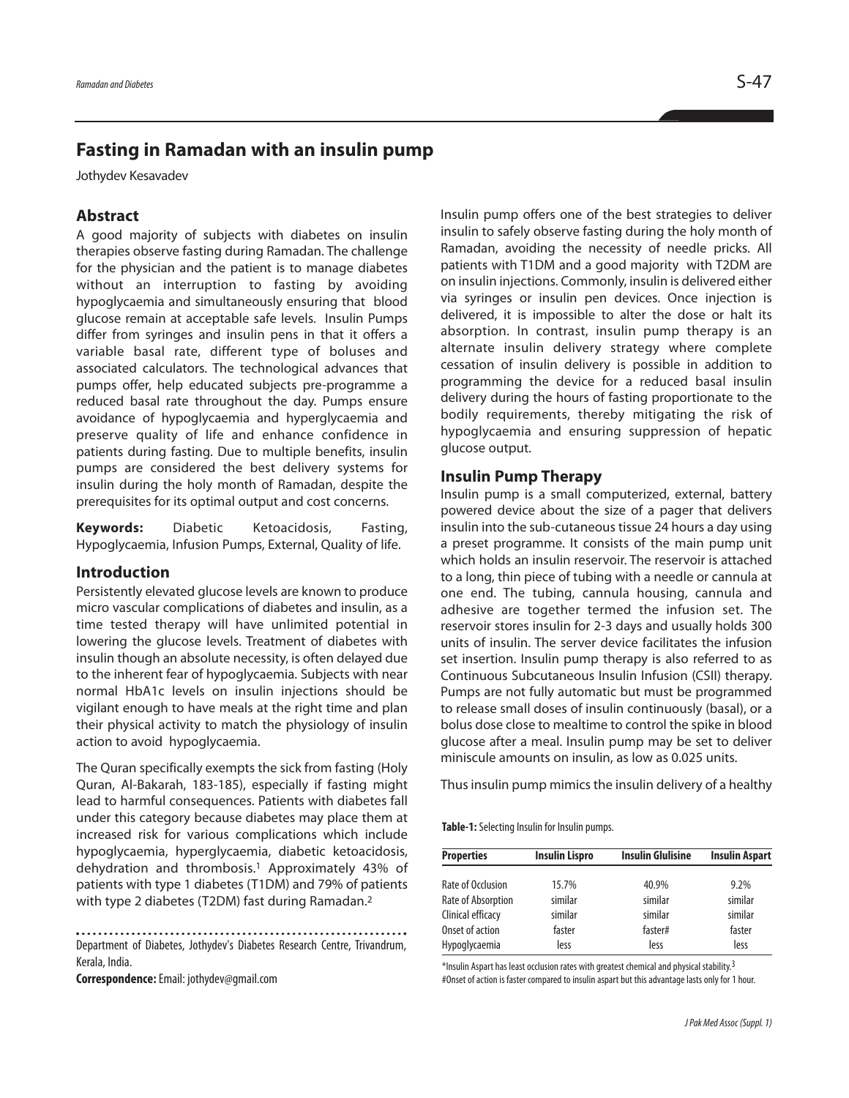# **Fasting in Ramadan with an insulin pump**

Jothydev Kesavadev

## **Abstract**

A good majority of subjects with diabetes on insulin therapies observe fasting during Ramadan. The challenge for the physician and the patient is to manage diabetes without an interruption to fasting by avoiding hypoglycaemia and simultaneously ensuring that blood glucose remain at acceptable safe levels. Insulin Pumps differ from syringes and insulin pens in that it offers a variable basal rate, different type of boluses and associated calculators. The technological advances that pumps offer, help educated subjects pre-programme a reduced basal rate throughout the day. Pumps ensure avoidance of hypoglycaemia and hyperglycaemia and preserve quality of life and enhance confidence in patients during fasting. Due to multiple benefits, insulin pumps are considered the best delivery systems for insulin during the holy month of Ramadan, despite the prerequisites for its optimal output and cost concerns.

**Keywords:** Diabetic Ketoacidosis, Fasting, Hypoglycaemia, Infusion Pumps, External, Quality of life.

### **Introduction**

Persistently elevated glucose levels are known to produce micro vascular complications of diabetes and insulin, as a time tested therapy will have unlimited potential in lowering the glucose levels. Treatment of diabetes with insulin though an absolute necessity, is often delayed due to the inherent fear of hypoglycaemia. Subjects with near normal HbA1c levels on insulin injections should be vigilant enough to have meals at the right time and plan their physical activity to match the physiology of insulin action to avoid hypoglycaemia.

The Quran specifically exempts the sick from fasting (Holy Quran, Al-Bakarah, 183-185), especially if fasting might lead to harmful consequences. Patients with diabetes fall under this category because diabetes may place them at increased risk for various complications which include hypoglycaemia, hyperglycaemia, diabetic ketoacidosis, dehydration and thrombosis. <sup>1</sup> Approximately 43% of patients with type 1 diabetes (T1DM) and 79% of patients with type 2 diabetes (T2DM) fast during Ramadan.<sup>2</sup>

Department of Diabetes, Jothydev's Diabetes Research Centre, Trivandrum, Kerala, India.

**Correspondence:**Email: jothydev@gmail.com

Insulin pump offers one of the best strategies to deliver insulin to safely observe fasting during the holy month of Ramadan, avoiding the necessity of needle pricks. All patients with T1DM and a good majority with T2DM are on insulin injections. Commonly, insulin is delivered either via syringes or insulin pen devices. Once injection is delivered, it is impossible to alter the dose or halt its absorption. In contrast, insulin pump therapy is an alternate insulin delivery strategy where complete cessation of insulin delivery is possible in addition to programming the device for a reduced basal insulin delivery during the hours of fasting proportionate to the bodily requirements, thereby mitigating the risk of hypoglycaemia and ensuring suppression of hepatic glucose output.

#### **Insulin Pump Therapy**

Insulin pump is a small computerized, external, battery powered device about the size of a pager that delivers insulin into the sub-cutaneous tissue 24 hours a day using a preset programme. It consists of the main pump unit which holds an insulin reservoir. The reservoir is attached to a long, thin piece of tubing with a needle or cannula at one end. The tubing, cannula housing, cannula and adhesive are together termed the infusion set. The reservoir stores insulin for 2-3 days and usually holds 300 units of insulin. The server device facilitates the infusion set insertion. Insulin pump therapy is also referred to as Continuous Subcutaneous Insulin Infusion (CSII) therapy. Pumps are not fully automatic but must be programmed to release small doses of insulin continuously (basal), or a bolus dose close to mealtime to control the spike in blood glucose after a meal. Insulin pump may be set to deliver miniscule amounts on insulin, as low as 0.025 units.

Thus insulin pump mimics the insulin delivery of a healthy

**Table-1:** Selecting Insulin for Insulin pumps.

| <b>Properties</b>  | <b>Insulin Lispro</b> | <b>Insulin Glulisine</b> | <b>Insulin Aspart</b> |
|--------------------|-----------------------|--------------------------|-----------------------|
| Rate of Occlusion  | 15.7%                 | 40.9%                    | 9.2%                  |
| Rate of Absorption | similar               | similar                  | similar               |
| Clinical efficacy  | similar               | similar                  | similar               |
| Onset of action    | faster                | faster#                  | faster                |
| Hypoglycaemia      | less                  | less                     | less                  |

\*Insulin Aspart has least occlusion rates with greatest chemical and physical stability.<sup>3</sup> #Onset of action is faster compared to insulin aspart but this advantage lasts only for 1 hour.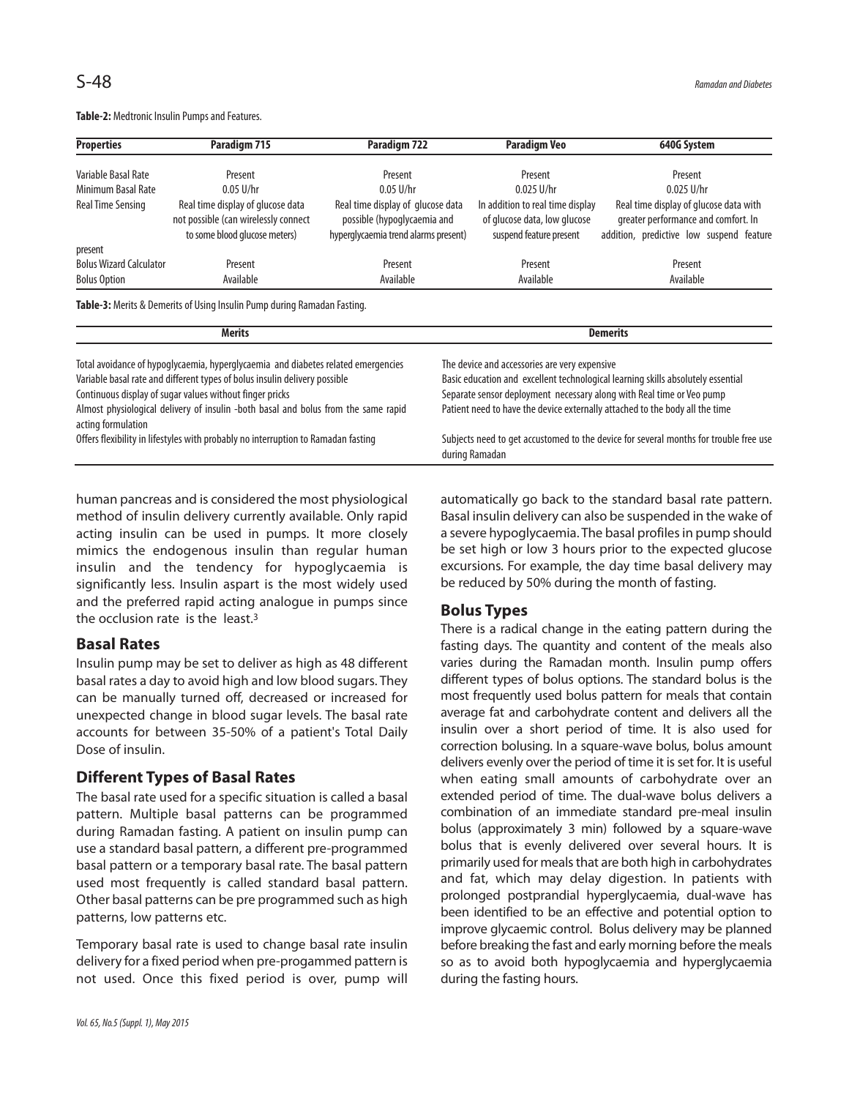| <b>Properties</b>              | Paradigm 715                                                                                               | Paradigm 722                                                                                             | <b>Paradigm Veo</b>                                                                         | 640G System                                                                                                               |
|--------------------------------|------------------------------------------------------------------------------------------------------------|----------------------------------------------------------------------------------------------------------|---------------------------------------------------------------------------------------------|---------------------------------------------------------------------------------------------------------------------------|
| Variable Basal Rate            | Present                                                                                                    | Present                                                                                                  | Present                                                                                     | Present                                                                                                                   |
| Minimum Basal Rate             | $0.05$ U/hr                                                                                                | $0.05$ U/hr                                                                                              | $0.025$ U/hr                                                                                | $0.025$ U/hr                                                                                                              |
| Real Time Sensing              | Real time display of glucose data<br>not possible (can wirelessly connect<br>to some blood glucose meters) | Real time display of glucose data<br>possible (hypoglycaemia and<br>hyperglycaemia trend alarms present) | In addition to real time display<br>of glucose data, low glucose<br>suspend feature present | Real time display of glucose data with<br>greater performance and comfort. In<br>addition, predictive low suspend feature |
| present                        |                                                                                                            |                                                                                                          |                                                                                             |                                                                                                                           |
| <b>Bolus Wizard Calculator</b> | Present                                                                                                    | Present                                                                                                  | Present                                                                                     | Present                                                                                                                   |
| <b>Bolus Option</b>            | Available                                                                                                  | Available                                                                                                | Available                                                                                   | Available                                                                                                                 |

Table-2: Medtronic Insulin Pumps and Features.

Table-3: Merits & Demerits of Using Insulin Pump during Ramadan Fasting.

| <b>Merits</b>                                                                                            | <b>Demerits</b>                                                                                         |  |  |
|----------------------------------------------------------------------------------------------------------|---------------------------------------------------------------------------------------------------------|--|--|
| Total avoidance of hypoglycaemia, hyperglycaemia and diabetes related emergencies                        | The device and accessories are very expensive                                                           |  |  |
| Variable basal rate and different types of bolus insulin delivery possible                               | Basic education and excellent technological learning skills absolutely essential                        |  |  |
| Continuous display of sugar values without finger pricks                                                 | Separate sensor deployment necessary along with Real time or Veo pump                                   |  |  |
| Almost physiological delivery of insulin -both basal and bolus from the same rapid<br>acting formulation | Patient need to have the device externally attached to the body all the time                            |  |  |
| Offers flexibility in lifestyles with probably no interruption to Ramadan fasting                        | Subjects need to get accustomed to the device for several months for trouble free use<br>during Ramadan |  |  |

human pancreas and is considered the most physiological method of insulin delivery currently available. Only rapid acting insulin can be used in pumps. It more closely mimics the endogenous insulin than regular human insulin and the tendency for hypoglycaemia is significantly less. Insulin aspart is the most widely used and the preferred rapid acting analogue in pumps since the occlusion rate is the least.<sup>3</sup>

### **Basal Rates**

Insulin pump may be set to deliver as high as 48 different basal rates a day to avoid high and low blood sugars. They can be manually turned off, decreased or increased for unexpected change in blood sugar levels. The basal rate accounts for between 35-50% of a patient's Total Daily Dose of insulin.

## **Different Types of Basal Rates**

The basal rate used for a specific situation is called a basal pattern. Multiple basal patterns can be programmed during Ramadan fasting. A patient on insulin pump can use a standard basal pattern, a different pre-programmed basal pattern or a temporary basal rate. The basal pattern used most frequently is called standard basal pattern. Other basal patterns can be pre programmed such as high patterns, low patterns etc.

Temporary basal rate is used to change basal rate insulin delivery for a fixed period when pre-progammed pattern is not used. Once this fixed period is over, pump will automatically go back to the standard basal rate pattern. Basal insulin delivery can also be suspended in the wake of a severe hypoglycaemia. The basal profiles in pump should be set high or low 3 hours prior to the expected glucose excursions. For example, the day time basal delivery may be reduced by 50% during the month of fasting.

### **Bolus Types**

There is a radical change in the eating pattern during the fasting days. The quantity and content of the meals also varies during the Ramadan month. Insulin pump offers different types of bolus options. The standard bolus is the most frequently used bolus pattern for meals that contain average fat and carbohydrate content and delivers all the insulin over a short period of time. It is also used for correction bolusing. In a square-wave bolus, bolus amount delivers evenly over the period of time it is set for. It is useful when eating small amounts of carbohydrate over an extended period of time. The dual-wave bolus delivers a combination of an immediate standard pre-meal insulin bolus (approximately 3 min) followed by a square-wave bolus that is evenly delivered over several hours. It is primarily used for meals that are both high in carbohydrates and fat, which may delay digestion. In patients with prolonged postprandial hyperglycaemia, dual-wave has been identified to be an effective and potential option to improve glycaemic control. Bolus delivery may be planned before breaking the fast and early morning before the meals so as to avoid both hypoglycaemia and hyperglycaemia during the fasting hours.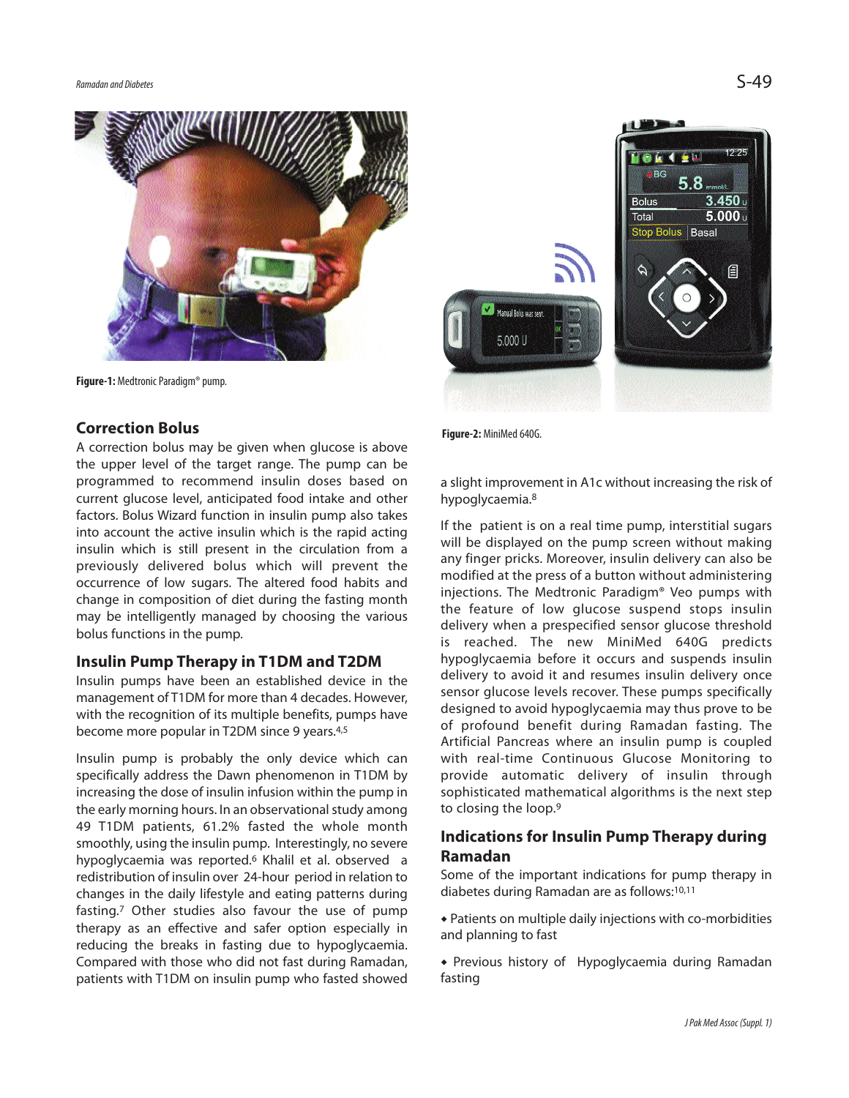

Figure-1: Medtronic Paradigm<sup>®</sup> pump.

## **Correction Bolus**

A correction bolus may be given when glucose is above the upper level of the target range. The pump can be programmed to recommend insulin doses based on current glucose level, anticipated food intake and other factors. Bolus Wizard function in insulin pump also takes into account the active insulin which is the rapid acting insulin which is still present in the circulation from a previously delivered bolus which will prevent the occurrence of low sugars. The altered food habits and change in composition of diet during the fasting month may be intelligently managed by choosing the various bolus functions in the pump.

### **Insulin Pump Therapy in T1DM and T2DM**

Insulin pumps have been an established device in the management of T1DM for more than 4 decades. However, with the recognition of its multiple benefits, pumps have become more popular in T2DM since 9 years. 4,5

Insulin pump is probably the only device which can specifically address the Dawn phenomenon in T1DM by increasing the dose of insulin infusion within the pump in the early morning hours. In an observational study among 49 T1DM patients, 61.2% fasted the whole month smoothly, using the insulin pump. Interestingly, no severe hypoglycaemia was reported. <sup>6</sup> Khalil et al. observed a redistribution of insulin over 24-hour period in relation to changes in the daily lifestyle and eating patterns during fasting. <sup>7</sup> Other studies also favour the use of pump therapy as an effective and safer option especially in reducing the breaks in fasting due to hypoglycaemia. Compared with those who did not fast during Ramadan, patients with T1DM on insulin pump who fasted showed



Figure-2: MiniMed 640G.

a slight improvement in A1c without increasing the risk of hypoglycaemia. 8

If the patient is on a real time pump, interstitial sugars will be displayed on the pump screen without making any finger pricks. Moreover, insulin delivery can also be modified at the press of a button without administering injections. The Medtronic Paradigm® Veo pumps with the feature of low glucose suspend stops insulin delivery when a prespecified sensor glucose threshold is reached. The new MiniMed 640G predicts hypoglycaemia before it occurs and suspends insulin delivery to avoid it and resumes insulin delivery once sensor glucose levels recover. These pumps specifically designed to avoid hypoglycaemia may thus prove to be of profound benefit during Ramadan fasting. The Artificial Pancreas where an insulin pump is coupled with real-time Continuous Glucose Monitoring to provide automatic delivery of insulin through sophisticated mathematical algorithms is the next step to closing the loop. 9

## **Indications for Insulin Pump Therapy during Ramadan**

Some of the important indications for pump therapy in diabetes during Ramadan are as follows: 10,11

 Patients on multiple daily injections with co-morbidities and planning to fast

 Previous history of Hypoglycaemia during Ramadan fasting